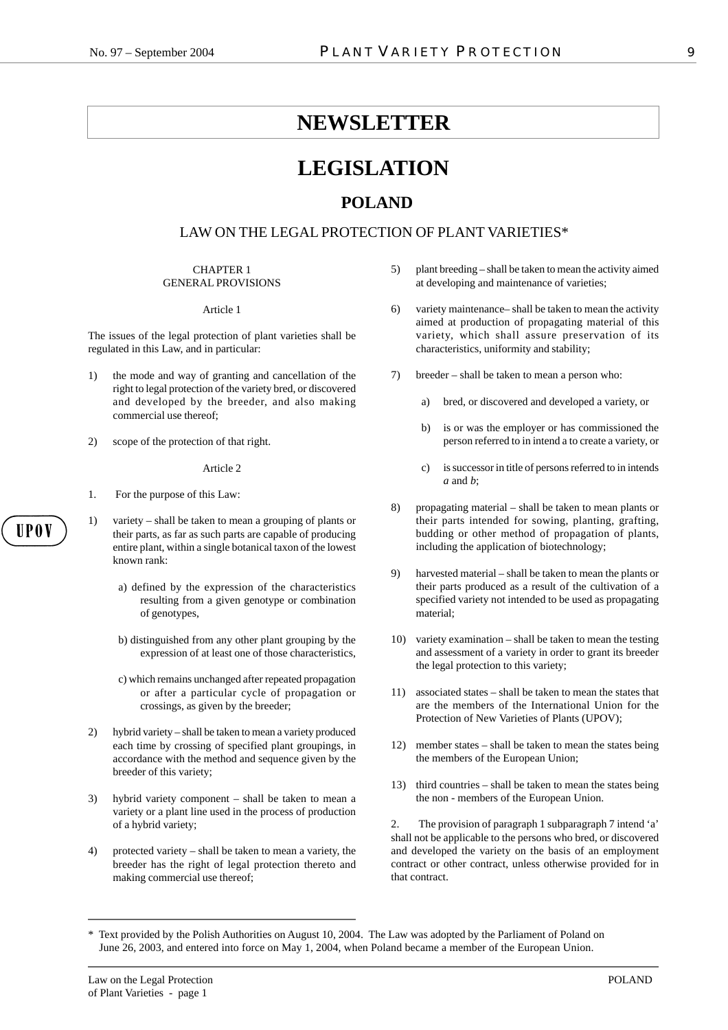# **NEWSLETTER**

# **LEGISLATION**

## **POLAND**

## LAW ON THE LEGAL PROTECTION OF PLANT VARIETIES\*

#### CHAPTER 1 GENERAL PROVISIONS

#### Article 1

The issues of the legal protection of plant varieties shall be regulated in this Law, and in particular:

- 1) the mode and way of granting and cancellation of the right to legal protection of the variety bred, or discovered and developed by the breeder, and also making commercial use thereof;
- 2) scope of the protection of that right.

#### Article 2

- 1. For the purpose of this Law:
- 1) variety shall be taken to mean a grouping of plants or their parts, as far as such parts are capable of producing entire plant, within a single botanical taxon of the lowest known rank:
	- a) defined by the expression of the characteristics resulting from a given genotype or combination of genotypes,
	- b) distinguished from any other plant grouping by the expression of at least one of those characteristics,
	- c) which remains unchanged after repeated propagation or after a particular cycle of propagation or crossings, as given by the breeder;
- 2) hybrid variety shall be taken to mean a variety produced each time by crossing of specified plant groupings, in accordance with the method and sequence given by the breeder of this variety;
- 3) hybrid variety component shall be taken to mean a variety or a plant line used in the process of production of a hybrid variety;
- 4) protected variety shall be taken to mean a variety, the breeder has the right of legal protection thereto and making commercial use thereof;
- 5) plant breeding shall be taken to mean the activity aimed at developing and maintenance of varieties;
- 6) variety maintenance– shall be taken to mean the activity aimed at production of propagating material of this variety, which shall assure preservation of its characteristics, uniformity and stability;
- 7) breeder shall be taken to mean a person who:
	- a) bred, or discovered and developed a variety, or
	- b) is or was the employer or has commissioned the person referred to in intend a to create a variety, or
	- c) is successor in title of persons referred to in intends *a* and *b*;
- 8) propagating material shall be taken to mean plants or their parts intended for sowing, planting, grafting, budding or other method of propagation of plants, including the application of biotechnology;
- 9) harvested material shall be taken to mean the plants or their parts produced as a result of the cultivation of a specified variety not intended to be used as propagating material;
- 10) variety examination shall be taken to mean the testing and assessment of a variety in order to grant its breeder the legal protection to this variety;
- 11) associated states shall be taken to mean the states that are the members of the International Union for the Protection of New Varieties of Plants (UPOV);
- 12) member states shall be taken to mean the states being the members of the European Union;
- 13) third countries shall be taken to mean the states being the non - members of the European Union.

2. The provision of paragraph 1 subparagraph 7 intend 'a' shall not be applicable to the persons who bred, or discovered and developed the variety on the basis of an employment contract or other contract, unless otherwise provided for in that contract.

<sup>\*</sup> Text provided by the Polish Authorities on August 10, 2004. The Law was adopted by the Parliament of Poland on June 26, 2003, and entered into force on May 1, 2004, when Poland became a member of the European Union.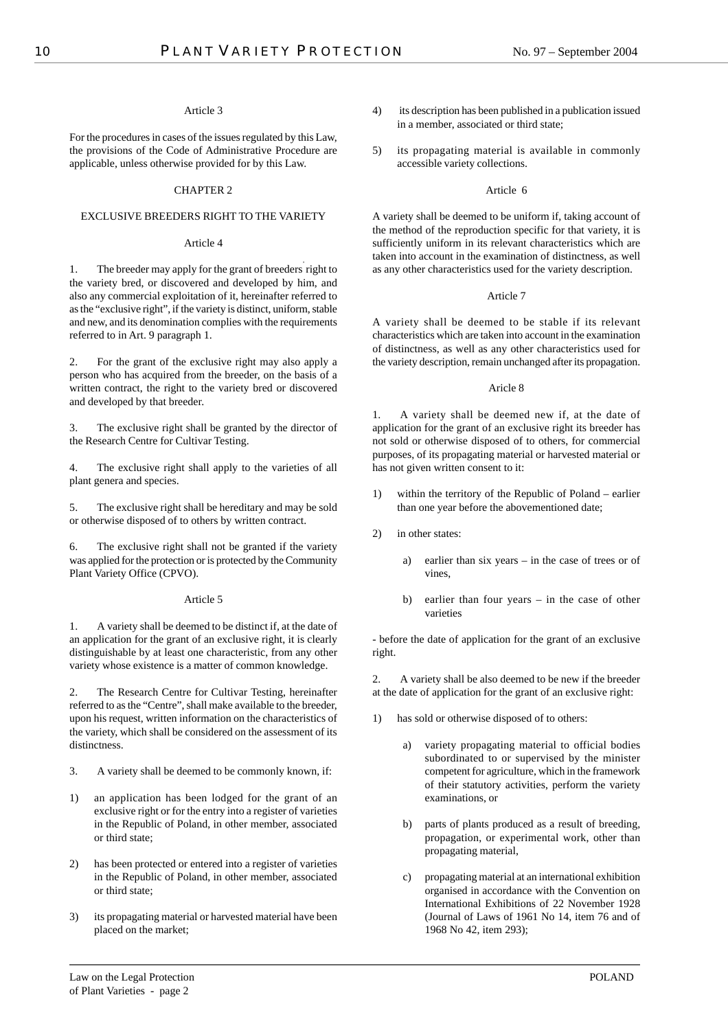## Article 3

For the procedures in cases of the issues regulated by this Law, the provisions of the Code of Administrative Procedure are applicable, unless otherwise provided for by this Law.

## CHAPTER 2

## EXCLUSIVE BREEDERS RIGHT TO THE VARIETY

## Article 4

1. The breeder may apply for the grant of breeders right to the variety bred, or discovered and developed by him, and also any commercial exploitation of it, hereinafter referred to as the "exclusive right", if the variety is distinct, uniform, stable and new, and its denomination complies with the requirements referred to in Art. 9 paragraph 1.

2. For the grant of the exclusive right may also apply a person who has acquired from the breeder, on the basis of a written contract, the right to the variety bred or discovered and developed by that breeder.

3. The exclusive right shall be granted by the director of the Research Centre for Cultivar Testing.

4. The exclusive right shall apply to the varieties of all plant genera and species.

5. The exclusive right shall be hereditary and may be sold or otherwise disposed of to others by written contract.

6. The exclusive right shall not be granted if the variety was applied for the protection or is protected by the Community Plant Variety Office (CPVO).

## Article 5

1. A variety shall be deemed to be distinct if, at the date of an application for the grant of an exclusive right, it is clearly distinguishable by at least one characteristic, from any other variety whose existence is a matter of common knowledge.

2. The Research Centre for Cultivar Testing, hereinafter referred to as the "Centre", shall make available to the breeder, upon his request, written information on the characteristics of the variety, which shall be considered on the assessment of its distinctness.

- 3. A variety shall be deemed to be commonly known, if:
- 1) an application has been lodged for the grant of an exclusive right or for the entry into a register of varieties in the Republic of Poland, in other member, associated or third state;
- 2) has been protected or entered into a register of varieties in the Republic of Poland, in other member, associated or third state;
- 3) its propagating material or harvested material have been placed on the market;
- 4) its description has been published in a publication issued in a member, associated or third state;
- 5) its propagating material is available in commonly accessible variety collections.

## Article 6

A variety shall be deemed to be uniform if, taking account of the method of the reproduction specific for that variety, it is sufficiently uniform in its relevant characteristics which are taken into account in the examination of distinctness, as well as any other characteristics used for the variety description.

## Article 7

A variety shall be deemed to be stable if its relevant characteristics which are taken into account in the examination of distinctness, as well as any other characteristics used for the variety description, remain unchanged after its propagation.

## Aricle 8

1. A variety shall be deemed new if, at the date of application for the grant of an exclusive right its breeder has not sold or otherwise disposed of to others, for commercial purposes, of its propagating material or harvested material or has not given written consent to it:

- 1) within the territory of the Republic of Poland earlier than one year before the abovementioned date;
- 2) in other states:
	- a) earlier than six years in the case of trees or of vines,
	- b) earlier than four years in the case of other varieties

- before the date of application for the grant of an exclusive right.

2. A variety shall be also deemed to be new if the breeder at the date of application for the grant of an exclusive right:

- 1) has sold or otherwise disposed of to others:
	- a) variety propagating material to official bodies subordinated to or supervised by the minister competent for agriculture, which in the framework of their statutory activities, perform the variety examinations, or
	- b) parts of plants produced as a result of breeding, propagation, or experimental work, other than propagating material,
	- c) propagating material at an international exhibition organised in accordance with the Convention on International Exhibitions of 22 November 1928 (Journal of Laws of 1961 No 14, item 76 and of 1968 No 42, item 293);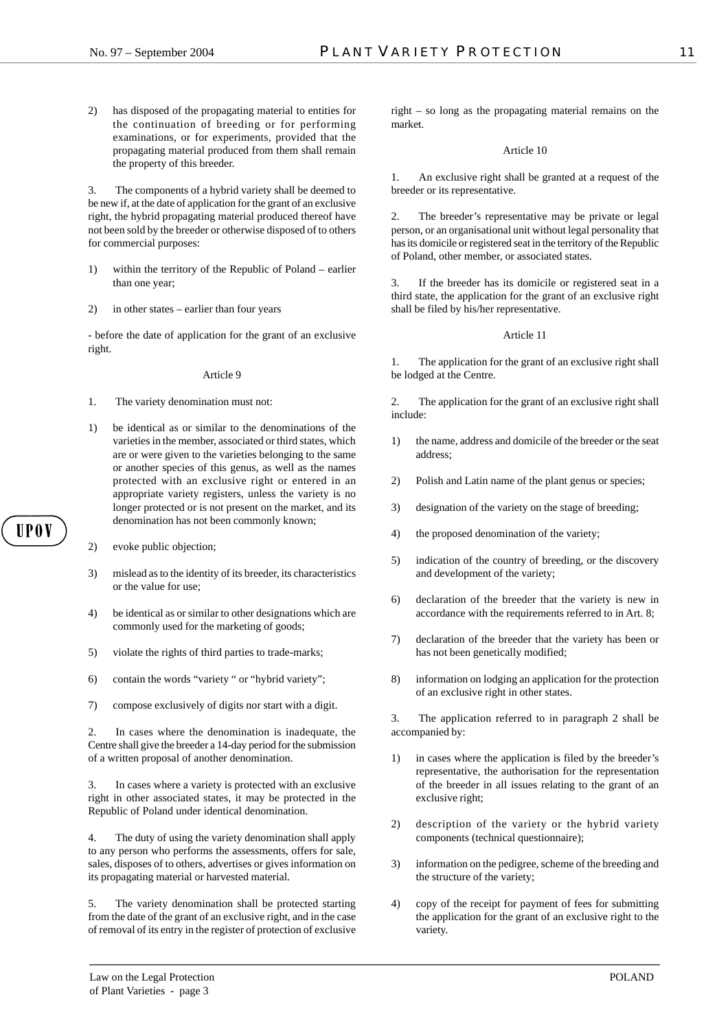2) has disposed of the propagating material to entities for the continuation of breeding or for performing examinations, or for experiments, provided that the propagating material produced from them shall remain the property of this breeder.

3. The components of a hybrid variety shall be deemed to be new if, at the date of application for the grant of an exclusive right, the hybrid propagating material produced thereof have not been sold by the breeder or otherwise disposed of to others for commercial purposes:

- 1) within the territory of the Republic of Poland earlier than one year;
- 2) in other states earlier than four years

- before the date of application for the grant of an exclusive right.

#### Article 9

- 1. The variety denomination must not:
- 1) be identical as or similar to the denominations of the varieties in the member, associated or third states, which are or were given to the varieties belonging to the same or another species of this genus, as well as the names protected with an exclusive right or entered in an appropriate variety registers, unless the variety is no longer protected or is not present on the market, and its denomination has not been commonly known;
- 2) evoke public objection;

HP O V

- 3) mislead as to the identity of its breeder, its characteristics or the value for use;
- 4) be identical as or similar to other designations which are commonly used for the marketing of goods;
- 5) violate the rights of third parties to trade-marks;
- 6) contain the words "variety " or "hybrid variety";
- 7) compose exclusively of digits nor start with a digit.

2. In cases where the denomination is inadequate, the Centre shall give the breeder a 14-day period for the submission of a written proposal of another denomination.

3. In cases where a variety is protected with an exclusive right in other associated states, it may be protected in the Republic of Poland under identical denomination.

The duty of using the variety denomination shall apply to any person who performs the assessments, offers for sale, sales, disposes of to others, advertises or gives information on its propagating material or harvested material.

5. The variety denomination shall be protected starting from the date of the grant of an exclusive right, and in the case of removal of its entry in the register of protection of exclusive

right – so long as the propagating material remains on the market.

#### Article 10

1. An exclusive right shall be granted at a request of the breeder or its representative.

2. The breeder's representative may be private or legal person, or an organisational unit without legal personality that has its domicile or registered seat in the territory of the Republic of Poland, other member, or associated states.

3. If the breeder has its domicile or registered seat in a third state, the application for the grant of an exclusive right shall be filed by his/her representative.

#### Article 11

1. The application for the grant of an exclusive right shall be lodged at the Centre.

2. The application for the grant of an exclusive right shall include:

- 1) the name, address and domicile of the breeder or the seat address;
- 2) Polish and Latin name of the plant genus or species;
- 3) designation of the variety on the stage of breeding;
- 4) the proposed denomination of the variety;
- 5) indication of the country of breeding, or the discovery and development of the variety;
- 6) declaration of the breeder that the variety is new in accordance with the requirements referred to in Art. 8;
- 7) declaration of the breeder that the variety has been or has not been genetically modified;
- 8) information on lodging an application for the protection of an exclusive right in other states.

3. The application referred to in paragraph 2 shall be accompanied by:

- in cases where the application is filed by the breeder's representative, the authorisation for the representation of the breeder in all issues relating to the grant of an exclusive right;
- 2) description of the variety or the hybrid variety components (technical questionnaire);
- 3) information on the pedigree, scheme of the breeding and the structure of the variety;
- 4) copy of the receipt for payment of fees for submitting the application for the grant of an exclusive right to the variety.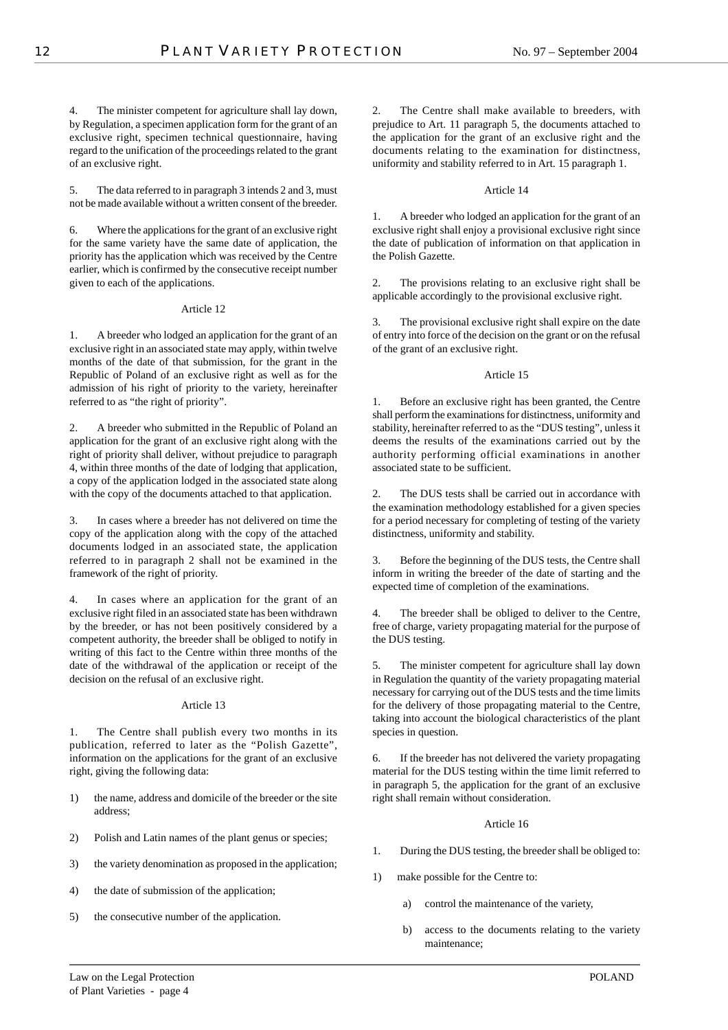4. The minister competent for agriculture shall lay down, by Regulation, a specimen application form for the grant of an exclusive right, specimen technical questionnaire, having regard to the unification of the proceedings related to the grant of an exclusive right.

5. The data referred to in paragraph 3 intends 2 and 3, must not be made available without a written consent of the breeder.

6. Where the applications for the grant of an exclusive right for the same variety have the same date of application, the priority has the application which was received by the Centre earlier, which is confirmed by the consecutive receipt number given to each of the applications.

## Article 12

1. A breeder who lodged an application for the grant of an exclusive right in an associated state may apply, within twelve months of the date of that submission, for the grant in the Republic of Poland of an exclusive right as well as for the admission of his right of priority to the variety, hereinafter referred to as "the right of priority".

2. A breeder who submitted in the Republic of Poland an application for the grant of an exclusive right along with the right of priority shall deliver, without prejudice to paragraph 4, within three months of the date of lodging that application, a copy of the application lodged in the associated state along with the copy of the documents attached to that application.

3. In cases where a breeder has not delivered on time the copy of the application along with the copy of the attached documents lodged in an associated state, the application referred to in paragraph 2 shall not be examined in the framework of the right of priority.

4. In cases where an application for the grant of an exclusive right filed in an associated state has been withdrawn by the breeder, or has not been positively considered by a competent authority, the breeder shall be obliged to notify in writing of this fact to the Centre within three months of the date of the withdrawal of the application or receipt of the decision on the refusal of an exclusive right.

#### Article 13

1. The Centre shall publish every two months in its publication, referred to later as the "Polish Gazette", information on the applications for the grant of an exclusive right, giving the following data:

- 1) the name, address and domicile of the breeder or the site address;
- 2) Polish and Latin names of the plant genus or species;
- 3) the variety denomination as proposed in the application;
- 4) the date of submission of the application;
- 5) the consecutive number of the application.

2. The Centre shall make available to breeders, with prejudice to Art. 11 paragraph 5, the documents attached to the application for the grant of an exclusive right and the documents relating to the examination for distinctness, uniformity and stability referred to in Art. 15 paragraph 1.

### Article 14

1. A breeder who lodged an application for the grant of an exclusive right shall enjoy a provisional exclusive right since the date of publication of information on that application in the Polish Gazette.

2. The provisions relating to an exclusive right shall be applicable accordingly to the provisional exclusive right.

3. The provisional exclusive right shall expire on the date of entry into force of the decision on the grant or on the refusal of the grant of an exclusive right.

#### Article 15

Before an exclusive right has been granted, the Centre shall perform the examinations for distinctness, uniformity and stability, hereinafter referred to as the "DUS testing", unless it deems the results of the examinations carried out by the authority performing official examinations in another associated state to be sufficient.

The DUS tests shall be carried out in accordance with the examination methodology established for a given species for a period necessary for completing of testing of the variety distinctness, uniformity and stability.

3. Before the beginning of the DUS tests, the Centre shall inform in writing the breeder of the date of starting and the expected time of completion of the examinations.

4. The breeder shall be obliged to deliver to the Centre, free of charge, variety propagating material for the purpose of the DUS testing.

5. The minister competent for agriculture shall lay down in Regulation the quantity of the variety propagating material necessary for carrying out of the DUS tests and the time limits for the delivery of those propagating material to the Centre, taking into account the biological characteristics of the plant species in question.

6. If the breeder has not delivered the variety propagating material for the DUS testing within the time limit referred to in paragraph 5, the application for the grant of an exclusive right shall remain without consideration.

## Article 16

- 1. During the DUS testing, the breeder shall be obliged to:
- 1) make possible for the Centre to:
	- a) control the maintenance of the variety,
	- b) access to the documents relating to the variety maintenance;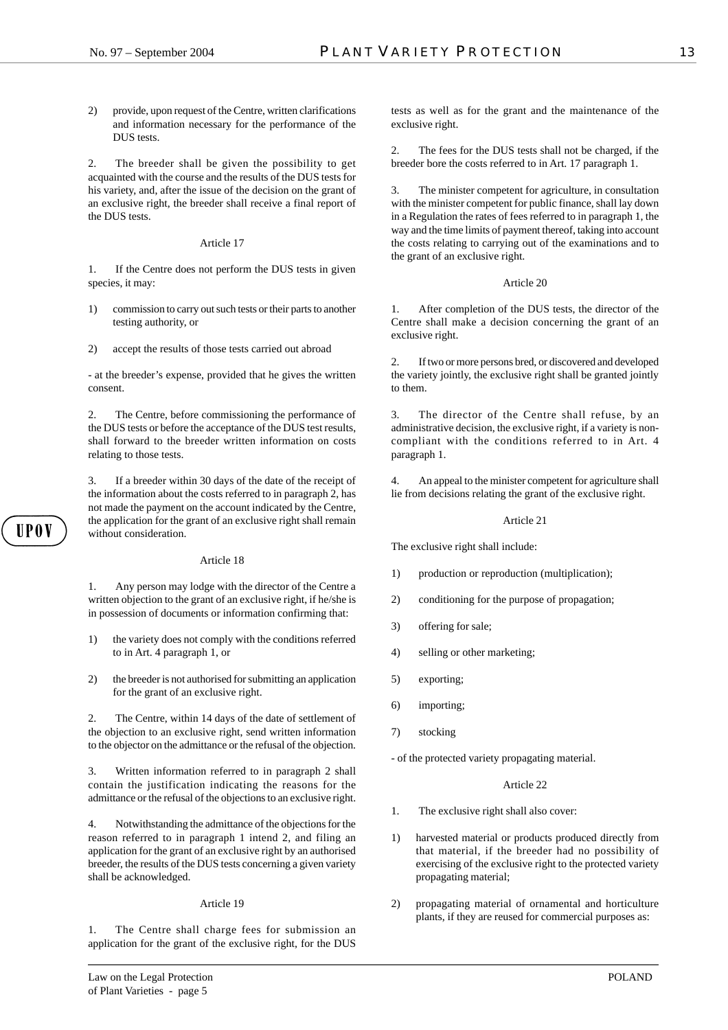2) provide, upon request of the Centre, written clarifications and information necessary for the performance of the DUS tests.

2. The breeder shall be given the possibility to get acquainted with the course and the results of the DUS tests for his variety, and, after the issue of the decision on the grant of an exclusive right, the breeder shall receive a final report of the DUS tests.

#### Article 17

1. If the Centre does not perform the DUS tests in given species, it may:

- 1) commission to carry out such tests or their parts to another testing authority, or
- 2) accept the results of those tests carried out abroad

- at the breeder's expense, provided that he gives the written consent.

2. The Centre, before commissioning the performance of the DUS tests or before the acceptance of the DUS test results, shall forward to the breeder written information on costs relating to those tests.

3. If a breeder within 30 days of the date of the receipt of the information about the costs referred to in paragraph 2, has not made the payment on the account indicated by the Centre, the application for the grant of an exclusive right shall remain without consideration.

### Article 18

1. Any person may lodge with the director of the Centre a written objection to the grant of an exclusive right, if he/she is in possession of documents or information confirming that:

- 1) the variety does not comply with the conditions referred to in Art. 4 paragraph 1, or
- 2) the breeder is not authorised for submitting an application for the grant of an exclusive right.

2. The Centre, within 14 days of the date of settlement of the objection to an exclusive right, send written information to the objector on the admittance or the refusal of the objection.

3. Written information referred to in paragraph 2 shall contain the justification indicating the reasons for the admittance or the refusal of the objections to an exclusive right.

4. Notwithstanding the admittance of the objections for the reason referred to in paragraph 1 intend 2, and filing an application for the grant of an exclusive right by an authorised breeder, the results of the DUS tests concerning a given variety shall be acknowledged.

#### Article 19

1. The Centre shall charge fees for submission an application for the grant of the exclusive right, for the DUS 2. The fees for the DUS tests shall not be charged, if the breeder bore the costs referred to in Art. 17 paragraph 1.

3. The minister competent for agriculture, in consultation with the minister competent for public finance, shall lay down in a Regulation the rates of fees referred to in paragraph 1, the way and the time limits of payment thereof, taking into account the costs relating to carrying out of the examinations and to the grant of an exclusive right.

#### Article 20

1. After completion of the DUS tests, the director of the Centre shall make a decision concerning the grant of an exclusive right.

2. If two or more persons bred, or discovered and developed the variety jointly, the exclusive right shall be granted jointly to them.

3. The director of the Centre shall refuse, by an administrative decision, the exclusive right, if a variety is noncompliant with the conditions referred to in Art. 4 paragraph 1.

4. An appeal to the minister competent for agriculture shall lie from decisions relating the grant of the exclusive right.

### Article 21

The exclusive right shall include:

- 1) production or reproduction (multiplication);
- 2) conditioning for the purpose of propagation;
- 3) offering for sale;
- 4) selling or other marketing;
- 5) exporting;
- 6) importing;
- 7) stocking

- of the protected variety propagating material.

#### Article 22

- 1. The exclusive right shall also cover:
- 1) harvested material or products produced directly from that material, if the breeder had no possibility of exercising of the exclusive right to the protected variety propagating material;
- 2) propagating material of ornamental and horticulture plants, if they are reused for commercial purposes as: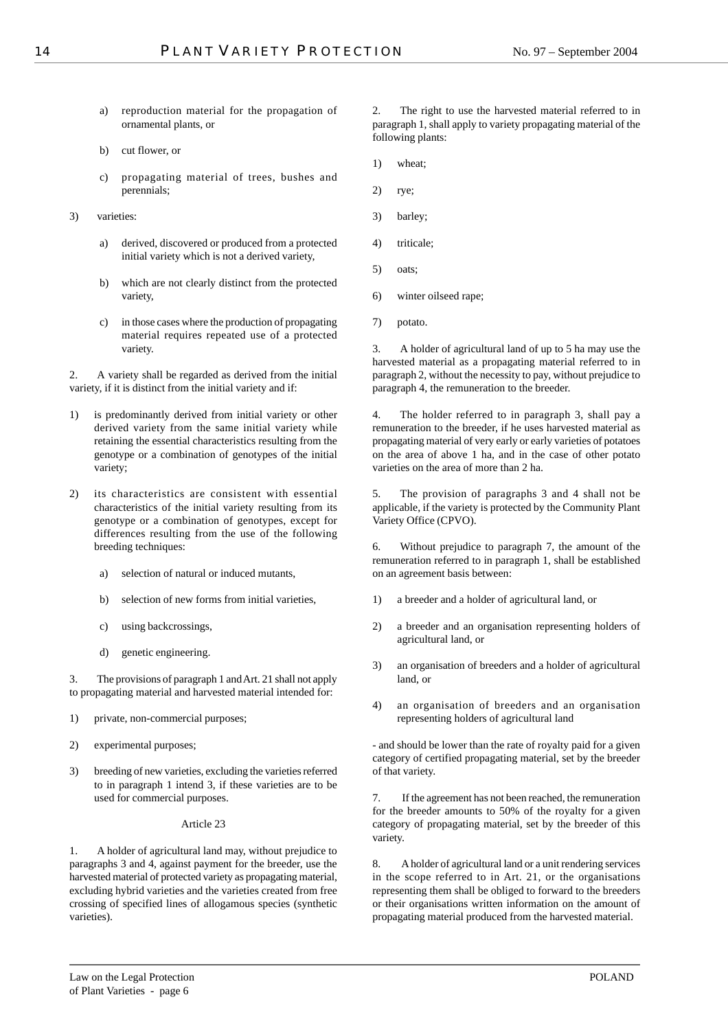- a) reproduction material for the propagation of ornamental plants, or
- b) cut flower, or
- c) propagating material of trees, bushes and perennials;
- 3) varieties:
	- a) derived, discovered or produced from a protected initial variety which is not a derived variety,
	- b) which are not clearly distinct from the protected variety,
	- c) in those cases where the production of propagating material requires repeated use of a protected variety.

2. A variety shall be regarded as derived from the initial variety, if it is distinct from the initial variety and if:

- 1) is predominantly derived from initial variety or other derived variety from the same initial variety while retaining the essential characteristics resulting from the genotype or a combination of genotypes of the initial variety;
- 2) its characteristics are consistent with essential characteristics of the initial variety resulting from its genotype or a combination of genotypes, except for differences resulting from the use of the following breeding techniques:
	- a) selection of natural or induced mutants,
	- b) selection of new forms from initial varieties,
	- c) using backcrossings,
	- d) genetic engineering.

3. The provisions of paragraph 1 and Art. 21 shall not apply to propagating material and harvested material intended for:

- 1) private, non-commercial purposes;
- 2) experimental purposes;
- 3) breeding of new varieties, excluding the varieties referred to in paragraph 1 intend 3, if these varieties are to be used for commercial purposes.

## Article 23

1. A holder of agricultural land may, without prejudice to paragraphs 3 and 4, against payment for the breeder, use the harvested material of protected variety as propagating material, excluding hybrid varieties and the varieties created from free crossing of specified lines of allogamous species (synthetic varieties).

2. The right to use the harvested material referred to in paragraph 1, shall apply to variety propagating material of the following plants:

- 1) wheat;
- 2) rye;
- 3) barley;
- 4) triticale;
- 5) oats;
- 6) winter oilseed rape;
- 7) potato.

3. A holder of agricultural land of up to 5 ha may use the harvested material as a propagating material referred to in paragraph 2, without the necessity to pay, without prejudice to paragraph 4, the remuneration to the breeder.

4. The holder referred to in paragraph 3, shall pay a remuneration to the breeder, if he uses harvested material as propagating material of very early or early varieties of potatoes on the area of above 1 ha, and in the case of other potato varieties on the area of more than 2 ha.

5. The provision of paragraphs 3 and 4 shall not be applicable, if the variety is protected by the Community Plant Variety Office (CPVO).

6. Without prejudice to paragraph 7, the amount of the remuneration referred to in paragraph 1, shall be established on an agreement basis between:

- 1) a breeder and a holder of agricultural land, or
- 2) a breeder and an organisation representing holders of agricultural land, or
- 3) an organisation of breeders and a holder of agricultural land, or
- 4) an organisation of breeders and an organisation representing holders of agricultural land

- and should be lower than the rate of royalty paid for a given category of certified propagating material, set by the breeder of that variety.

7. If the agreement has not been reached, the remuneration for the breeder amounts to 50% of the royalty for a given category of propagating material, set by the breeder of this variety.

8. A holder of agricultural land or a unit rendering services in the scope referred to in Art. 21, or the organisations representing them shall be obliged to forward to the breeders or their organisations written information on the amount of propagating material produced from the harvested material.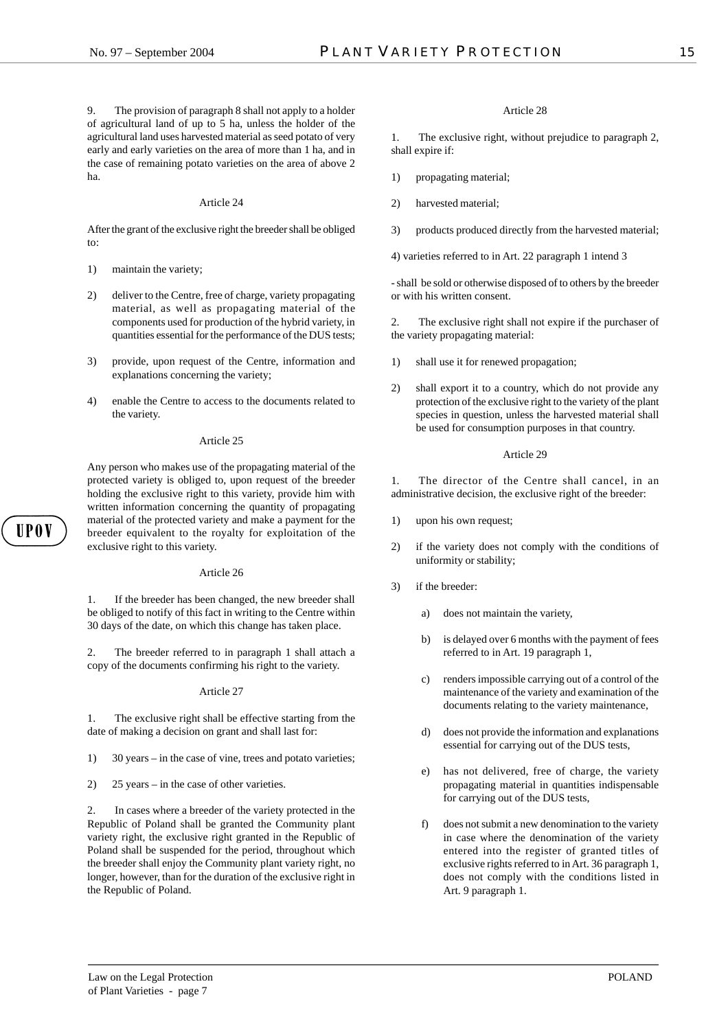9. The provision of paragraph 8 shall not apply to a holder of agricultural land of up to 5 ha, unless the holder of the agricultural land uses harvested material as seed potato of very early and early varieties on the area of more than 1 ha, and in the case of remaining potato varieties on the area of above 2 ha.

#### Article 24

After the grant of the exclusive right the breeder shall be obliged to:

- 1) maintain the variety;
- 2) deliver to the Centre, free of charge, variety propagating material, as well as propagating material of the components used for production of the hybrid variety, in quantities essential for the performance of the DUS tests;
- 3) provide, upon request of the Centre, information and explanations concerning the variety;
- 4) enable the Centre to access to the documents related to the variety.

#### Article 25

Any person who makes use of the propagating material of the protected variety is obliged to, upon request of the breeder holding the exclusive right to this variety, provide him with written information concerning the quantity of propagating material of the protected variety and make a payment for the breeder equivalent to the royalty for exploitation of the exclusive right to this variety.

# Article 26

II P O V

1. If the breeder has been changed, the new breeder shall be obliged to notify of this fact in writing to the Centre within 30 days of the date, on which this change has taken place.

2. The breeder referred to in paragraph 1 shall attach a copy of the documents confirming his right to the variety.

Article 27

1. The exclusive right shall be effective starting from the date of making a decision on grant and shall last for:

- 1) 30 years in the case of vine, trees and potato varieties;
- 2) 25 years in the case of other varieties.

2. In cases where a breeder of the variety protected in the Republic of Poland shall be granted the Community plant variety right, the exclusive right granted in the Republic of Poland shall be suspended for the period, throughout which the breeder shall enjoy the Community plant variety right, no longer, however, than for the duration of the exclusive right in the Republic of Poland.

#### Article 28

1. The exclusive right, without prejudice to paragraph 2, shall expire if:

- 1) propagating material;
- 2) harvested material;
- 3) products produced directly from the harvested material;
- 4) varieties referred to in Art. 22 paragraph 1 intend 3

- shall be sold or otherwise disposed of to others by the breeder or with his written consent.

2. The exclusive right shall not expire if the purchaser of the variety propagating material:

- 1) shall use it for renewed propagation;
- 2) shall export it to a country, which do not provide any protection of the exclusive right to the variety of the plant species in question, unless the harvested material shall be used for consumption purposes in that country.

#### Article 29

1. The director of the Centre shall cancel, in an administrative decision, the exclusive right of the breeder:

- 1) upon his own request;
- 2) if the variety does not comply with the conditions of uniformity or stability;
- 3) if the breeder:
	- a) does not maintain the variety,
	- b) is delayed over 6 months with the payment of fees referred to in Art. 19 paragraph 1,
	- c) renders impossible carrying out of a control of the maintenance of the variety and examination of the documents relating to the variety maintenance,
	- d) does not provide the information and explanations essential for carrying out of the DUS tests,
	- e) has not delivered, free of charge, the variety propagating material in quantities indispensable for carrying out of the DUS tests,
	- f) does not submit a new denomination to the variety in case where the denomination of the variety entered into the register of granted titles of exclusive rights referred to in Art. 36 paragraph 1, does not comply with the conditions listed in Art. 9 paragraph 1.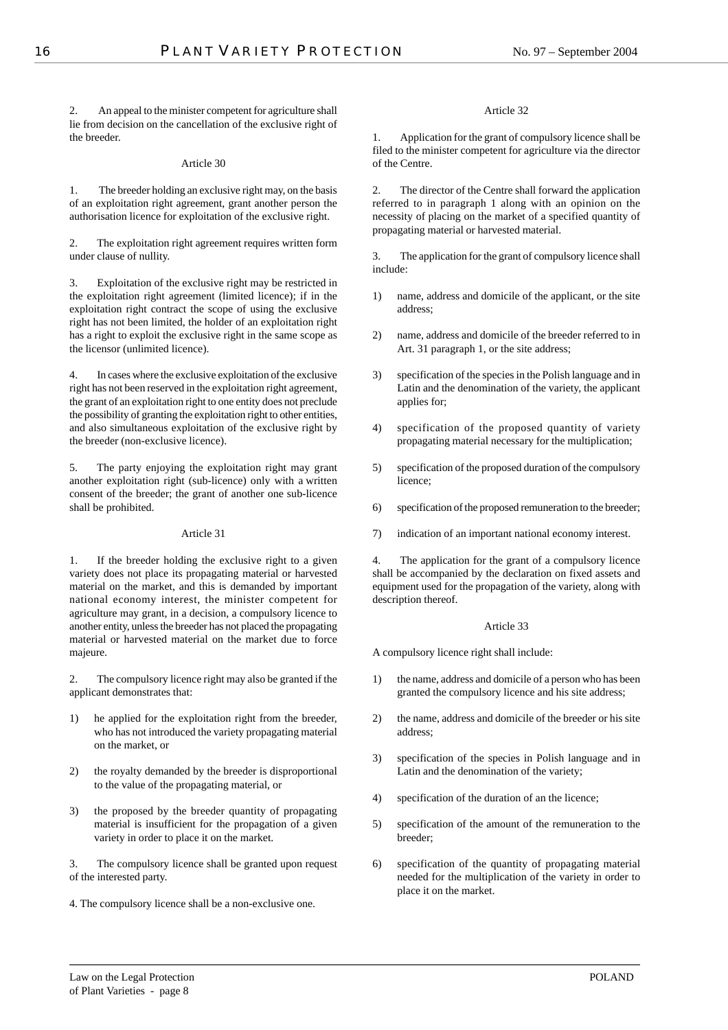2. An appeal to the minister competent for agriculture shall lie from decision on the cancellation of the exclusive right of the breeder.

## Article 30

1. The breeder holding an exclusive right may, on the basis of an exploitation right agreement, grant another person the authorisation licence for exploitation of the exclusive right.

2. The exploitation right agreement requires written form under clause of nullity.

3. Exploitation of the exclusive right may be restricted in the exploitation right agreement (limited licence); if in the exploitation right contract the scope of using the exclusive right has not been limited, the holder of an exploitation right has a right to exploit the exclusive right in the same scope as the licensor (unlimited licence).

4. In cases where the exclusive exploitation of the exclusive right has not been reserved in the exploitation right agreement, the grant of an exploitation right to one entity does not preclude the possibility of granting the exploitation right to other entities, and also simultaneous exploitation of the exclusive right by the breeder (non-exclusive licence).

5. The party enjoying the exploitation right may grant another exploitation right (sub-licence) only with a written consent of the breeder; the grant of another one sub-licence shall be prohibited.

## Article 31

1. If the breeder holding the exclusive right to a given variety does not place its propagating material or harvested material on the market, and this is demanded by important national economy interest, the minister competent for agriculture may grant, in a decision, a compulsory licence to another entity, unless the breeder has not placed the propagating material or harvested material on the market due to force majeure.

2. The compulsory licence right may also be granted if the applicant demonstrates that:

- 1) he applied for the exploitation right from the breeder, who has not introduced the variety propagating material on the market, or
- 2) the royalty demanded by the breeder is disproportional to the value of the propagating material, or
- 3) the proposed by the breeder quantity of propagating material is insufficient for the propagation of a given variety in order to place it on the market.

3. The compulsory licence shall be granted upon request of the interested party.

4. The compulsory licence shall be a non-exclusive one.

## Article 32

1. Application for the grant of compulsory licence shall be filed to the minister competent for agriculture via the director of the Centre.

2. The director of the Centre shall forward the application referred to in paragraph 1 along with an opinion on the necessity of placing on the market of a specified quantity of propagating material or harvested material.

3. The application for the grant of compulsory licence shall include:

- 1) name, address and domicile of the applicant, or the site address;
- 2) name, address and domicile of the breeder referred to in Art. 31 paragraph 1, or the site address;
- 3) specification of the species in the Polish language and in Latin and the denomination of the variety, the applicant applies for;
- 4) specification of the proposed quantity of variety propagating material necessary for the multiplication;
- 5) specification of the proposed duration of the compulsory licence;
- 6) specification of the proposed remuneration to the breeder;
- 7) indication of an important national economy interest.

4. The application for the grant of a compulsory licence shall be accompanied by the declaration on fixed assets and equipment used for the propagation of the variety, along with description thereof.

## Article 33

A compulsory licence right shall include:

- 1) the name, address and domicile of a person who has been granted the compulsory licence and his site address;
- 2) the name, address and domicile of the breeder or his site address;
- 3) specification of the species in Polish language and in Latin and the denomination of the variety;
- 4) specification of the duration of an the licence;
- 5) specification of the amount of the remuneration to the breeder;
- 6) specification of the quantity of propagating material needed for the multiplication of the variety in order to place it on the market.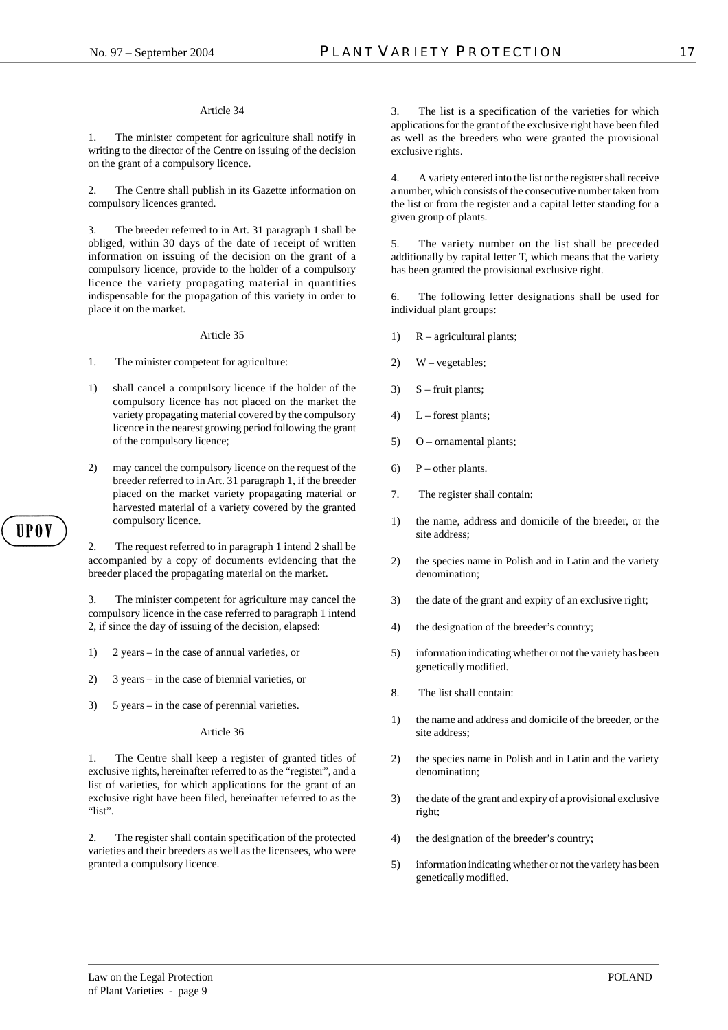#### Article 34

1. The minister competent for agriculture shall notify in writing to the director of the Centre on issuing of the decision on the grant of a compulsory licence.

2. The Centre shall publish in its Gazette information on compulsory licences granted.

3. The breeder referred to in Art. 31 paragraph 1 shall be obliged, within 30 days of the date of receipt of written information on issuing of the decision on the grant of a compulsory licence, provide to the holder of a compulsory licence the variety propagating material in quantities indispensable for the propagation of this variety in order to place it on the market.

#### Article 35

- 1. The minister competent for agriculture:
- 1) shall cancel a compulsory licence if the holder of the compulsory licence has not placed on the market the variety propagating material covered by the compulsory licence in the nearest growing period following the grant of the compulsory licence;
- 2) may cancel the compulsory licence on the request of the breeder referred to in Art. 31 paragraph 1, if the breeder placed on the market variety propagating material or harvested material of a variety covered by the granted compulsory licence.

2. The request referred to in paragraph 1 intend 2 shall be accompanied by a copy of documents evidencing that the breeder placed the propagating material on the market.

3. The minister competent for agriculture may cancel the compulsory licence in the case referred to paragraph 1 intend 2, if since the day of issuing of the decision, elapsed:

- 1) 2 years in the case of annual varieties, or
- 2) 3 years in the case of biennial varieties, or
- 3) 5 years in the case of perennial varieties.

of Plant Varieties - page 9

#### Article 36

1. The Centre shall keep a register of granted titles of exclusive rights, hereinafter referred to as the "register", and a list of varieties, for which applications for the grant of an exclusive right have been filed, hereinafter referred to as the "list".

2. The register shall contain specification of the protected varieties and their breeders as well as the licensees, who were granted a compulsory licence.

3. The list is a specification of the varieties for which applications for the grant of the exclusive right have been filed as well as the breeders who were granted the provisional exclusive rights.

4. A variety entered into the list or the register shall receive a number, which consists of the consecutive number taken from the list or from the register and a capital letter standing for a given group of plants.

5. The variety number on the list shall be preceded additionally by capital letter T, which means that the variety has been granted the provisional exclusive right.

6. The following letter designations shall be used for individual plant groups:

- 1) R agricultural plants;
- 2) W vegetables;
- 3)  $S -$  fruit plants;
- 4)  $L$  forest plants;
- 5) O ornamental plants;
- 6)  $P$  other plants.
- 7. The register shall contain:
- 1) the name, address and domicile of the breeder, or the site address;
- 2) the species name in Polish and in Latin and the variety denomination;
- 3) the date of the grant and expiry of an exclusive right;
- 4) the designation of the breeder's country;
- 5) information indicating whether or not the variety has been genetically modified.
- 8. The list shall contain:
- 1) the name and address and domicile of the breeder, or the site address;
- 2) the species name in Polish and in Latin and the variety denomination;
- 3) the date of the grant and expiry of a provisional exclusive right;
- 4) the designation of the breeder's country;
- 5) information indicating whether or not the variety has been genetically modified.

## II P O V